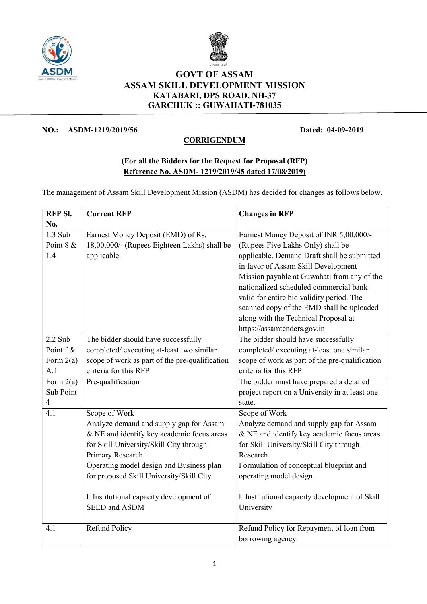



## GOVT OF ASSAM ASSAM SKILL DEVELOPMENT MISSION KATABARI, DPS ROAD, NH-37 GARCHUK :: GUWAHATI-781035

## NO.: ASDM-1219/2019/56 Dated: 04-09-2019

## **CORRIGENDUM**

## (For all the Bidders for the Request for Proposal (RFP) Reference No. ASDM- 1219/2019/45 dated 17/08/2019)

The management of Assam Skill Development Mission (ASDM) has decided for changes as follows below.

| RFP SI.                  | <b>Current RFP</b>                             | <b>Changes in RFP</b>                          |
|--------------------------|------------------------------------------------|------------------------------------------------|
| No.                      |                                                |                                                |
| $1.3$ Sub                | Earnest Money Deposit (EMD) of Rs.             | Earnest Money Deposit of INR 5,00,000/-        |
| Point 8 &                | 18,00,000/- (Rupees Eighteen Lakhs) shall be   | (Rupees Five Lakhs Only) shall be              |
| 1.4                      | applicable.                                    | applicable. Demand Draft shall be submitted    |
|                          |                                                | in favor of Assam Skill Development            |
|                          |                                                | Mission payable at Guwahati from any of the    |
|                          |                                                | nationalized scheduled commercial bank         |
|                          |                                                | valid for entire bid validity period. The      |
|                          |                                                | scanned copy of the EMD shall be uploaded      |
|                          |                                                | along with the Technical Proposal at           |
|                          |                                                | https://assamtenders.gov.in                    |
| $2.2$ Sub                | The bidder should have successfully            | The bidder should have successfully            |
| Point f &                | completed/ executing at-least two similar      | completed/ executing at-least one similar      |
| Form $2(a)$              | scope of work as part of the pre-qualification | scope of work as part of the pre-qualification |
| A.1                      | criteria for this RFP                          | criteria for this RFP                          |
| Form $2(a)$              | Pre-qualification                              | The bidder must have prepared a detailed       |
| Sub Point                |                                                | project report on a University in at least one |
| $\overline{\mathcal{A}}$ |                                                | state.                                         |
| 4.1                      | Scope of Work                                  | Scope of Work                                  |
|                          | Analyze demand and supply gap for Assam        | Analyze demand and supply gap for Assam        |
|                          | & NE and identify key academic focus areas     | & NE and identify key academic focus areas     |
|                          | for Skill University/Skill City through        | for Skill University/Skill City through        |
|                          | Primary Research                               | Research                                       |
|                          | Operating model design and Business plan       | Formulation of conceptual blueprint and        |
|                          | for proposed Skill University/Skill City       | operating model design                         |
|                          |                                                |                                                |
|                          | l. Institutional capacity development of       | l. Institutional capacity development of Skill |
|                          | <b>SEED and ASDM</b>                           | University                                     |
|                          |                                                |                                                |
| 4.1                      | Refund Policy                                  | Refund Policy for Repayment of loan from       |
|                          |                                                | borrowing agency.                              |